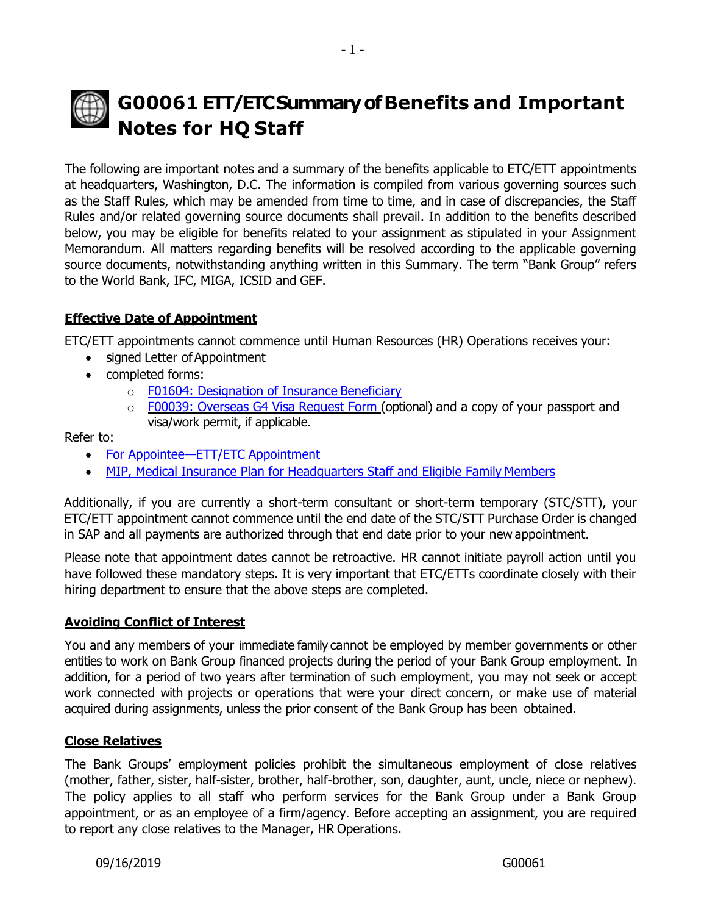# **G00061 ETT/ETCSummaryofBenefits and Important Notes for HQ Staff**

The following are important notes and a summary of the benefits applicable to ETC/ETT appointments at headquarters, Washington, D.C. The information is compiled from various governing sources such as the Staff Rules, which may be amended from time to time, and in case of discrepancies, the Staff Rules and/or related governing source documents shall prevail. In addition to the benefits described below, you may be eligible for benefits related to your assignment as stipulated in your Assignment Memorandum. All matters regarding benefits will be resolved according to the applicable governing source documents, notwithstanding anything written in this Summary. The term "Bank Group" refers to the World Bank, IFC, MIGA, ICSID and GEF.

# **Effective Date of Appointment**

ETC/ETT appointments cannot commence until Human Resources (HR) Operations receives your:

- signed Letter of Appointment
- completed forms:
	- o [F01604: Designation of Insurance](http://pubdocs.worldbank.org/en/212531553406742444/designate-or-update-insurance-beneficiary.pdf) Beneficiary
	- o [F00039: Overseas G4 Visa Request Form \(](http://pubdocs.worldbank.org/en/294281374626401101/F00039-Overseas-Visa-Request-RNGO.pdf)optional) and a copy of your passport and visa/work permit, if applicable.

Refer to:

- [For Appointee](http://www.worldbank.org/en/about/unit/human-resources/for-appointee-checklist-for-new-etc-etts-in-headquarters)—ETT/ETC Appointment
- [MIP, Medical Insurance Plan for Headquarters Staff and Eligible Family](http://www.worldbank.org/en/about/unit/human-resources/medical-insurance-plan-mip-for-hq-staff-and-eligible-family-members) Members

Additionally, if you are currently a short-term consultant or short-term temporary (STC/STT), your ETC/ETT appointment cannot commence until the end date of the STC/STT Purchase Order is changed in SAP and all payments are authorized through that end date prior to your new appointment.

Please note that appointment dates cannot be retroactive. HR cannot initiate payroll action until you have followed these mandatory steps. It is very important that ETC/ETTs coordinate closely with their hiring department to ensure that the above steps are completed.

## **Avoiding Conflict of Interest**

You and any members of your immediate family cannot be employed by member governments or other entities to work on Bank Group financed projects during the period of your Bank Group employment. In addition, for a period of two years after termination of such employment, you may not seek or accept work connected with projects or operations that were your direct concern, or make use of material acquired during assignments, unless the prior consent of the Bank Group has been obtained.

#### **Close Relatives**

The Bank Groups' employment policies prohibit the simultaneous employment of close relatives (mother, father, sister, half-sister, brother, half-brother, son, daughter, aunt, uncle, niece or nephew). The policy applies to all staff who perform services for the Bank Group under a Bank Group appointment, or as an employee of a firm/agency. Before accepting an assignment, you are required to report any close relatives to the Manager, HR Operations.

09/16/2019 G00061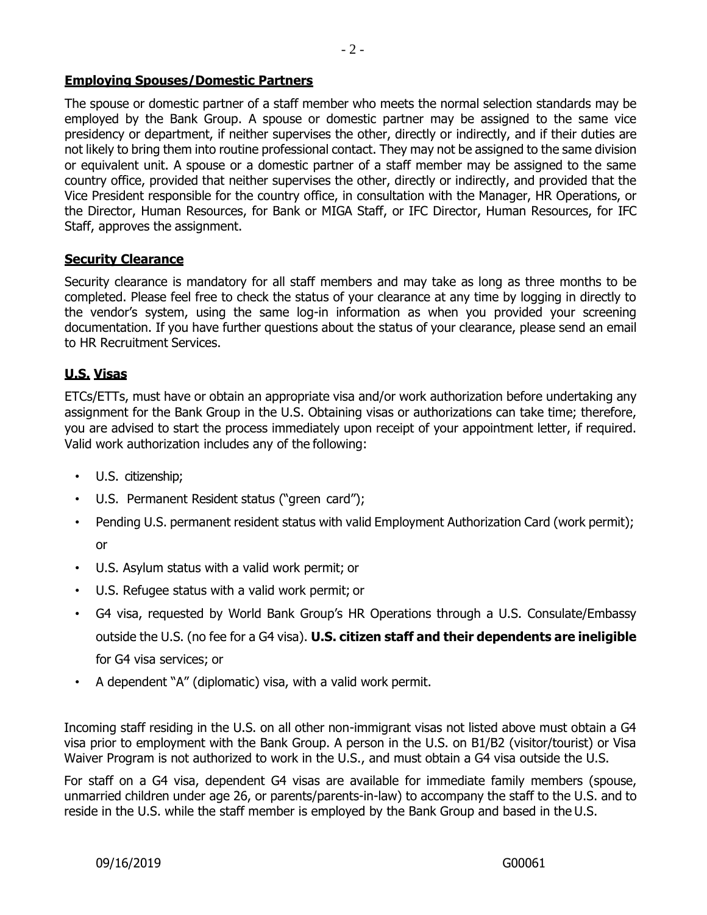#### **Employing Spouses/Domestic Partners**

The spouse or domestic partner of a staff member who meets the normal selection standards may be employed by the Bank Group. A spouse or domestic partner may be assigned to the same vice presidency or department, if neither supervises the other, directly or indirectly, and if their duties are not likely to bring them into routine professional contact. They may not be assigned to the same division or equivalent unit. A spouse or a domestic partner of a staff member may be assigned to the same country office, provided that neither supervises the other, directly or indirectly, and provided that the Vice President responsible for the country office, in consultation with the Manager, HR Operations, or the Director, Human Resources, for Bank or MIGA Staff, or IFC Director, Human Resources, for IFC Staff, approves the assignment.

#### **Security Clearance**

Security clearance is mandatory for all staff members and may take as long as three months to be completed. Please feel free to check the status of your clearance at any time by logging in directly to the vendor's system, using the same log-in information as when you provided your screening documentation. If you have further questions about the status of your clearance, please send an email to HR Recruitment Services.

#### **U.S. Visas**

ETCs/ETTs, must have or obtain an appropriate visa and/or work authorization before undertaking any assignment for the Bank Group in the U.S. Obtaining visas or authorizations can take time; therefore, you are advised to start the process immediately upon receipt of your appointment letter, if required. Valid work authorization includes any of the following:

- U.S. citizenship;
- U.S. Permanent Resident status ("green card");
- Pending U.S. permanent resident status with valid Employment Authorization Card (work permit); or
- U.S. Asylum status with a valid work permit; or
- U.S. Refugee status with a valid work permit; or
- G4 visa, requested by World Bank Group's HR Operations through a U.S. Consulate/Embassy outside the U.S. (no fee for a G4 visa). **U.S. citizen staff and their dependents are ineligible**  for G4 visa services; or
- A dependent "A" (diplomatic) visa, with a valid work permit.

Incoming staff residing in the U.S. on all other non-immigrant visas not listed above must obtain a G4 visa prior to employment with the Bank Group. A person in the U.S. on B1/B2 (visitor/tourist) or Visa Waiver Program is not authorized to work in the U.S., and must obtain a G4 visa outside the U.S.

For staff on a G4 visa, dependent G4 visas are available for immediate family members (spouse, unmarried children under age 26, or parents/parents-in-law) to accompany the staff to the U.S. and to reside in the U.S. while the staff member is employed by the Bank Group and based in the U.S.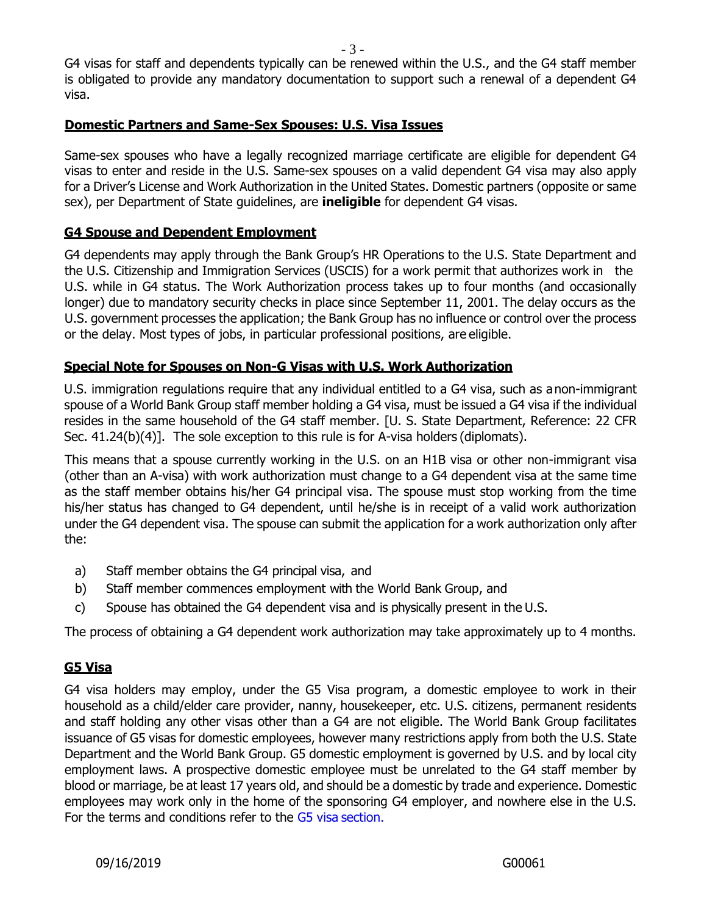G4 visas for staff and dependents typically can be renewed within the U.S., and the G4 staff member is obligated to provide any mandatory documentation to support such a renewal of a dependent G4 visa.

#### **Domestic Partners and Same-Sex Spouses: U.S. Visa Issues**

Same-sex spouses who have a legally recognized marriage certificate are eligible for dependent G4 visas to enter and reside in the U.S. Same-sex spouses on a valid dependent G4 visa may also apply for a Driver's License and Work Authorization in the United States. Domestic partners (opposite or same sex), per Department of State guidelines, are **ineligible** for dependent G4 visas.

## **G4 Spouse and Dependent Employment**

G4 dependents may apply through the Bank Group's HR Operations to the U.S. State Department and the U.S. Citizenship and Immigration Services (USCIS) for a work permit that authorizes work in the U.S. while in G4 status. The Work Authorization process takes up to four months (and occasionally longer) due to mandatory security checks in place since September 11, 2001. The delay occurs as the U.S. government processes the application; the Bank Group has no influence or control over the process or the delay. Most types of jobs, in particular professional positions, are eligible.

## **Special Note for Spouses on Non-G Visas with U.S. Work Authorization**

U.S. immigration regulations require that any individual entitled to a G4 visa, such as anon-immigrant spouse of a World Bank Group staff member holding a G4 visa, must be issued a G4 visa if the individual resides in the same household of the G4 staff member. [U. S. State Department, Reference: 22 CFR Sec. 41.24(b)(4)]. The sole exception to this rule is for A-visa holders (diplomats).

This means that a spouse currently working in the U.S. on an H1B visa or other non-immigrant visa (other than an A-visa) with work authorization must change to a G4 dependent visa at the same time as the staff member obtains his/her G4 principal visa. The spouse must stop working from the time his/her status has changed to G4 dependent, until he/she is in receipt of a valid work authorization under the G4 dependent visa. The spouse can submit the application for a work authorization only after the:

- a) Staff member obtains the G4 principal visa, and
- b) Staff member commences employment with the World Bank Group, and
- c) Spouse has obtained the G4 dependent visa and is physically present in the U.S.

The process of obtaining a G4 dependent work authorization may take approximately up to 4 months.

# **G5 Visa**

G4 visa holders may employ, under the G5 Visa program, a domestic employee to work in their household as a child/elder care provider, nanny, housekeeper, etc. U.S. citizens, permanent residents and staff holding any other visas other than a G4 are not eligible. The World Bank Group facilitates issuance of G5 visas for domestic employees, however many restrictions apply from both the U.S. State Department and the World Bank Group. G5 domestic employment is governed by U.S. and by local city employment laws. A prospective domestic employee must be unrelated to the G4 staff member by blood or marriage, be at least 17 years old, and should be a domestic by trade and experience. Domestic employees may work only in the home of the sponsoring G4 employer, and nowhere else in the U.S. For the terms and conditions refer to the [G5 visa](http://www.worldbank.org/en/about/unit/human-resources/request-g5-visa-for-a-prospective-domestic-employee-residing-outside-the-us?cq_ck=1553523949254) section.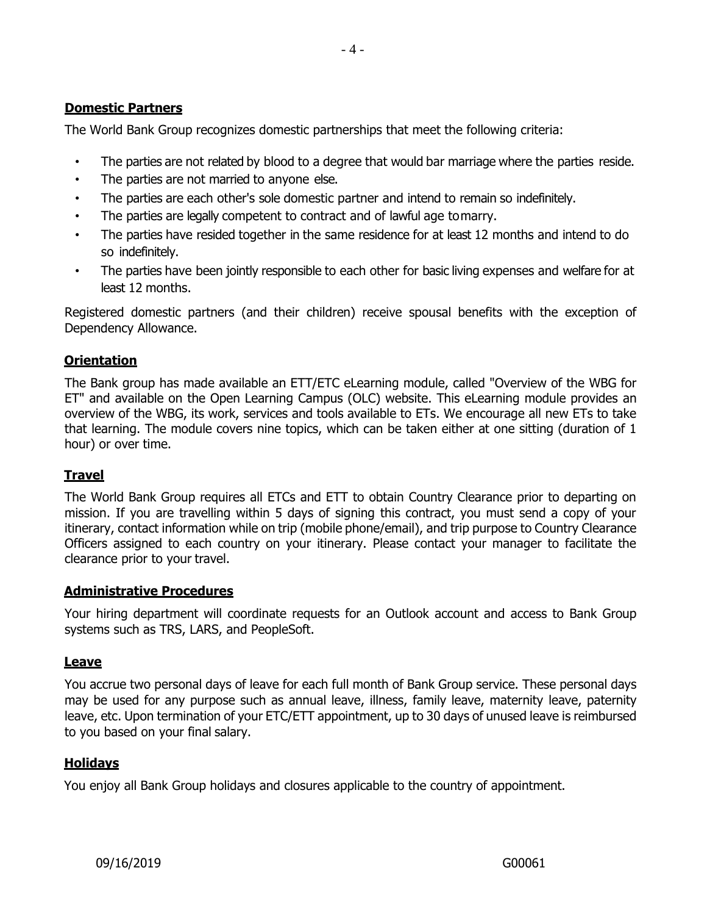# **Domestic Partners**

The World Bank Group recognizes domestic partnerships that meet the following criteria:

- The parties are not related by blood to a degree that would bar marriage where the parties reside.
- The parties are not married to anyone else.
- The parties are each other's sole domestic partner and intend to remain so indefinitely.
- The parties are legally competent to contract and of lawful age tomarry.
- The parties have resided together in the same residence for at least 12 months and intend to do so indefinitely.
- The parties have been jointly responsible to each other for basic living expenses and welfare for at least 12 months.

Registered domestic partners (and their children) receive spousal benefits with the exception of Dependency Allowance.

# **Orientation**

The Bank group has made available an ETT/ETC eLearning module, called "Overview of the WBG for ET" and available on the Open Learning Campus (OLC) website. This eLearning module provides an overview of the WBG, its work, services and tools available to ETs. We encourage all new ETs to take that learning. The module covers nine topics, which can be taken either at one sitting (duration of 1 hour) or over time.

## **Travel**

The World Bank Group requires all ETCs and ETT to obtain Country Clearance prior to departing on mission. If you are travelling within 5 days of signing this contract, you must send a copy of your itinerary, contact information while on trip (mobile phone/email), and trip purpose to Country Clearance Officers assigned to each country on your itinerary. Please contact your manager to facilitate the clearance prior to your travel.

## **Administrative Procedures**

Your hiring department will coordinate requests for an Outlook account and access to Bank Group systems such as TRS, LARS, and PeopleSoft.

## **Leave**

You accrue two personal days of leave for each full month of Bank Group service. These personal days may be used for any purpose such as annual leave, illness, family leave, maternity leave, paternity leave, etc. Upon termination of your ETC/ETT appointment, up to 30 days of unused leave is reimbursed to you based on your final salary.

# **Holidays**

You enjoy all Bank Group holidays and closures applicable to the country of appointment.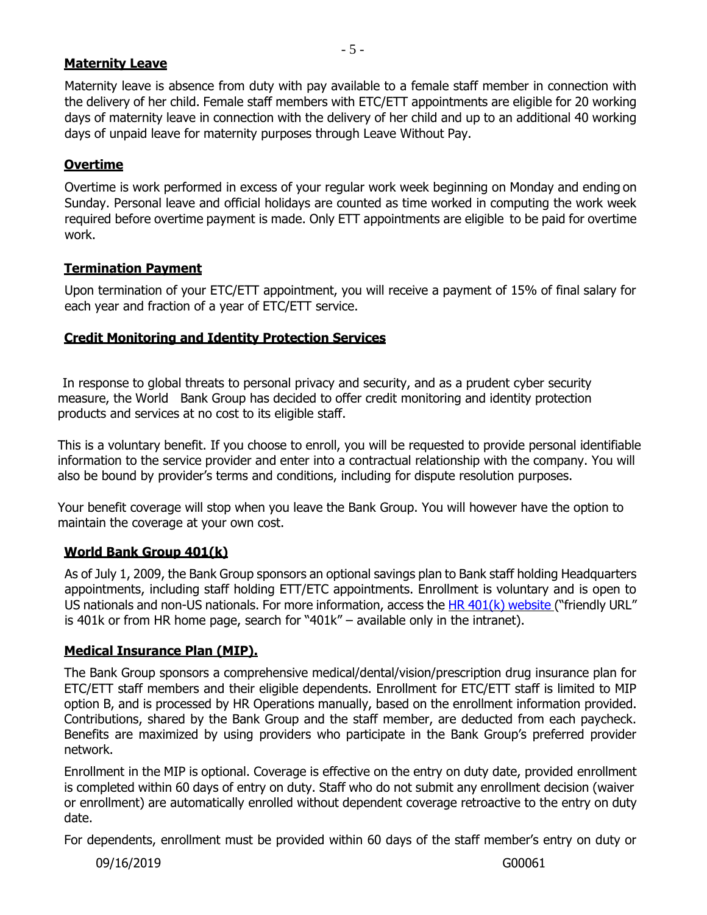#### **Maternity Leave**

Maternity leave is absence from duty with pay available to a female staff member in connection with the delivery of her child. Female staff members with ETC/ETT appointments are eligible for 20 working days of maternity leave in connection with the delivery of her child and up to an additional 40 working days of unpaid leave for maternity purposes through Leave Without Pay.

## **Overtime**

Overtime is work performed in excess of your regular work week beginning on Monday and ending on Sunday. Personal leave and official holidays are counted as time worked in computing the work week required before overtime payment is made. Only ETT appointments are eligible to be paid for overtime work.

## **Termination Payment**

Upon termination of your ETC/ETT appointment, you will receive a payment of 15% of final salary for each year and fraction of a year of ETC/ETT service.

# **Credit Monitoring and Identity Protection Services**

 In response to global threats to personal privacy and security, and as a prudent cyber security measure, the World Bank Group has decided to offer credit monitoring and identity protection products and services at no cost to its eligible staff.

This is a voluntary benefit. If you choose to enroll, you will be requested to provide personal identifiable information to the service provider and enter into a contractual relationship with the company. You will also be bound by provider's terms and conditions, including for dispute resolution purposes.

Your benefit coverage will stop when you leave the Bank Group. You will however have the option to maintain the coverage at your own cost.

# **World Bank Group 401(k)**

As of July 1, 2009, the Bank Group sponsors an optional savings plan to Bank staff holding Headquarters appointments, including staff holding ETT/ETC appointments. Enrollment is voluntary and is open to US nationals and non-US nationals. For more information, access the [HR 401\(k\) website](https://worldbankgroup.sharepoint.com/sites/hr/Pages/SPC/World-Bank-Group-Headquarters-401k-Plan-04072018-165446.aspx) ("friendly URL" is 401k or from HR home page, search for "401k" – available only in the intranet).

## **Medical Insurance Plan (MIP).**

The Bank Group sponsors a comprehensive medical/dental/vision/prescription drug insurance plan for ETC/ETT staff members and their eligible dependents. Enrollment for ETC/ETT staff is limited to MIP option B, and is processed by HR Operations manually, based on the enrollment information provided. Contributions, shared by the Bank Group and the staff member, are deducted from each paycheck. Benefits are maximized by using providers who participate in the Bank Group's preferred provider network.

Enrollment in the MIP is optional. Coverage is effective on the entry on duty date, provided enrollment is completed within 60 days of entry on duty. Staff who do not submit any enrollment decision (waiver or enrollment) are automatically enrolled without dependent coverage retroactive to the entry on duty date.

For dependents, enrollment must be provided within 60 days of the staff member's entry on duty or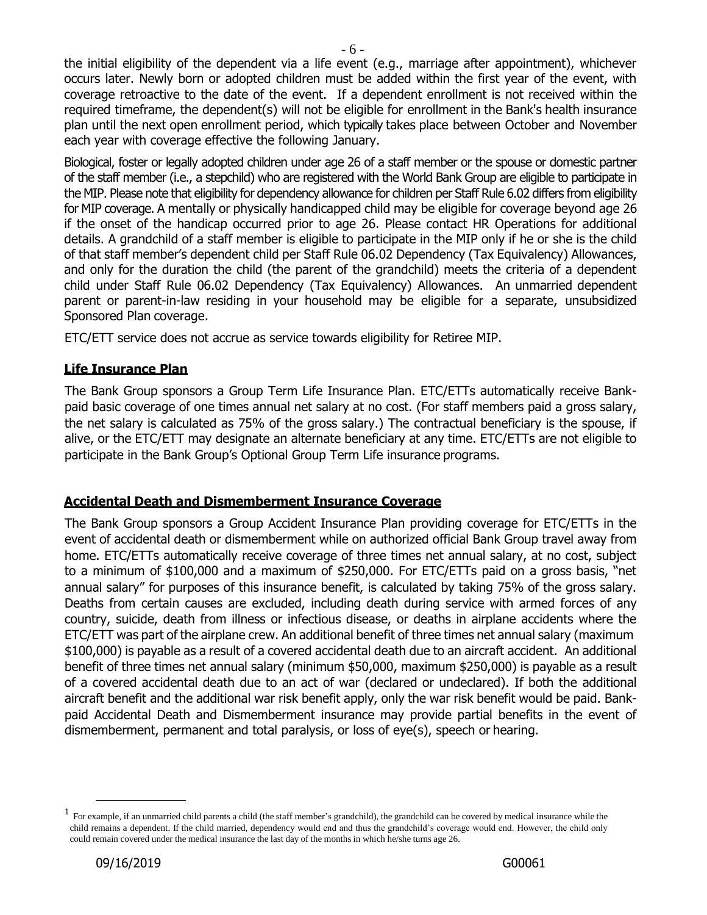the initial eligibility of the dependent via a life event (e.g., marriage after appointment), whichever occurs later. Newly born or adopted children must be added within the first year of the event, with coverage retroactive to the date of the event. If a dependent enrollment is not received within the required timeframe, the dependent(s) will not be eligible for enrollment in the Bank's health insurance plan until the next open enrollment period, which typically takes place between October and November each year with coverage effective the following January.

Biological, foster or legally adopted children under age 26 of a staff member or the spouse or domestic partner of the staff member (i.e., a stepchild) who are registered with the World Bank Group are eligible to participate in the MIP. Please note that eligibility for dependency allowance for children per Staff Rule 6.02 differs from eligibility for MIP coverage. A mentally or physically handicapped child may be eligible for coverage beyond age 26 if the onset of the handicap occurred prior to age 26. Please contact HR Operations for additional details. A grandchild of a staff member is eligible to participate in the MIP only if he or she is the child of that staff member's dependent child per Staff Rule 06.02 Dependency (Tax Equivalency) Allowances, and only for the duration the child (the parent of the grandchild) meets the criteria of a dependent child under Staff Rule 06.02 Dependency (Tax Equivalency) Allowances. An unmarried dependent parent or parent-in-law residing in your household may be eligible for a separate, unsubsidized Sponsored Plan coverage.

ETC/ETT service does not accrue as service towards eligibility for Retiree MIP.

# **Life Insurance Plan**

The Bank Group sponsors a Group Term Life Insurance Plan. ETC/ETTs automatically receive Bankpaid basic coverage of one times annual net salary at no cost. (For staff members paid a gross salary, the net salary is calculated as 75% of the gross salary.) The contractual beneficiary is the spouse, if alive, or the ETC/ETT may designate an alternate beneficiary at any time. ETC/ETTs are not eligible to participate in the Bank Group's Optional Group Term Life insurance programs.

## **Accidental Death and Dismemberment Insurance Coverage**

The Bank Group sponsors a Group Accident Insurance Plan providing coverage for ETC/ETTs in the event of accidental death or dismemberment while on authorized official Bank Group travel away from home. ETC/ETTs automatically receive coverage of three times net annual salary, at no cost, subject to a minimum of \$100,000 and a maximum of \$250,000. For ETC/ETTs paid on a gross basis, "net annual salary" for purposes of this insurance benefit, is calculated by taking 75% of the gross salary. Deaths from certain causes are excluded, including death during service with armed forces of any country, suicide, death from illness or infectious disease, or deaths in airplane accidents where the ETC/ETT was part of the airplane crew. An additional benefit of three times net annual salary (maximum \$100,000) is payable as a result of a covered accidental death due to an aircraft accident. An additional benefit of three times net annual salary (minimum \$50,000, maximum \$250,000) is payable as a result of a covered accidental death due to an act of war (declared or undeclared). If both the additional aircraft benefit and the additional war risk benefit apply, only the war risk benefit would be paid. Bankpaid Accidental Death and Dismemberment insurance may provide partial benefits in the event of dismemberment, permanent and total paralysis, or loss of eye(s), speech or hearing.

<sup>&</sup>lt;sup>1</sup> For example, if an unmarried child parents a child (the staff member's grandchild), the grandchild can be covered by medical insurance while the child remains a dependent. If the child married, dependency would end and thus the grandchild's coverage would end. However, the child only could remain covered under the medical insurance the last day of the months in which he/she turns age 26.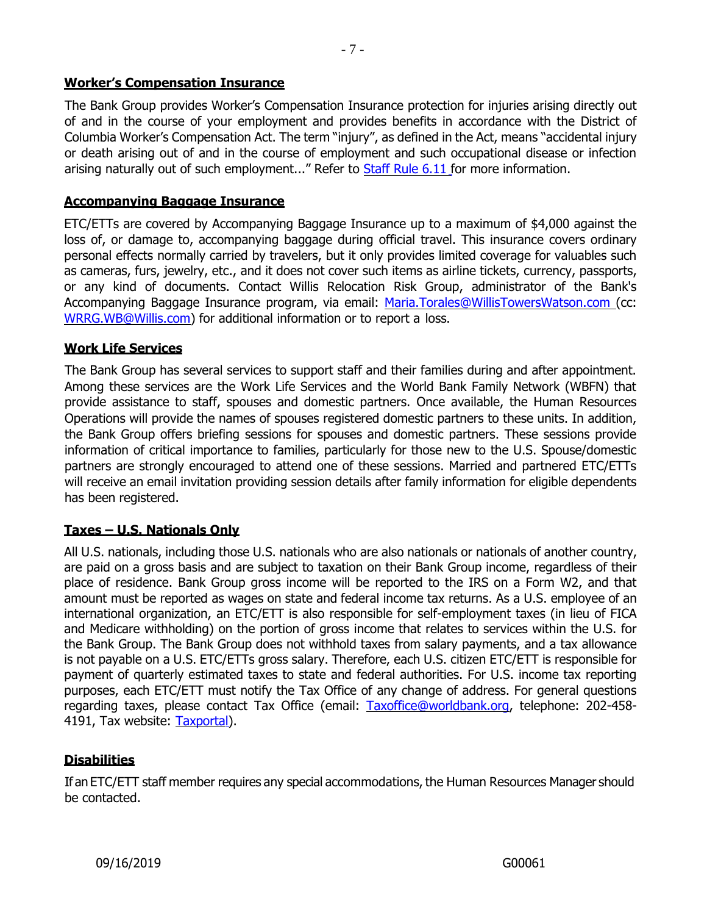#### **Worker's Compensation Insurance**

The Bank Group provides Worker's Compensation Insurance protection for injuries arising directly out of and in the course of your employment and provides benefits in accordance with the District of Columbia Worker's Compensation Act. The term "injury", as defined in the Act, means "accidental injury or death arising out of and in the course of employment and such occupational disease or infection arising naturally out of such employment..." Refer to **Staff Rule 6.11** for more information.

#### **Accompanying Baggage Insurance**

ETC/ETTs are covered by Accompanying Baggage Insurance up to a maximum of \$4,000 against the loss of, or damage to, accompanying baggage during official travel. This insurance covers ordinary personal effects normally carried by travelers, but it only provides limited coverage for valuables such as cameras, furs, jewelry, etc., and it does not cover such items as airline tickets, currency, passports, or any kind of documents. Contact Willis Relocation Risk Group, administrator of the Bank's Accompanying Baggage Insurance program, via email: [Maria.Torales@WillisTowersWatson.com \(](mailto:Maria.Torales@WillisTowersWatson.com)cc: [WRRG.WB@Willis.com\)](mailto:WRRG.WB@Willis.comf) for additional information or to report a loss.

#### **Work Life Services**

The Bank Group has several services to support staff and their families during and after appointment. Among these services are the Work Life Services and the World Bank Family Network (WBFN) that provide assistance to staff, spouses and domestic partners. Once available, the Human Resources Operations will provide the names of spouses registered domestic partners to these units. In addition, the Bank Group offers briefing sessions for spouses and domestic partners. These sessions provide information of critical importance to families, particularly for those new to the U.S. Spouse/domestic partners are strongly encouraged to attend one of these sessions. Married and partnered ETC/ETTs will receive an email invitation providing session details after family information for eligible dependents has been registered.

#### **Taxes – U.S. Nationals Only**

All U.S. nationals, including those U.S. nationals who are also nationals or nationals of another country, are paid on a gross basis and are subject to taxation on their Bank Group income, regardless of their place of residence. Bank Group gross income will be reported to the IRS on a Form W2, and that amount must be reported as wages on state and federal income tax returns. As a U.S. employee of an international organization, an ETC/ETT is also responsible for self-employment taxes (in lieu of FICA and Medicare withholding) on the portion of gross income that relates to services within the U.S. for the Bank Group. The Bank Group does not withhold taxes from salary payments, and a tax allowance is not payable on a U.S. ETC/ETTs gross salary. Therefore, each U.S. citizen ETC/ETT is responsible for payment of quarterly estimated taxes to state and federal authorities. For U.S. income tax reporting purposes, each ETC/ETT must notify the Tax Office of any change of address. For general questions regarding taxes, please contact Tax Office (email: [Taxoffice@worldbank.org,](mailto:Taxoffice@worldbank.org) telephone: 202-458- 4191, Tax website: [Taxportal\)](https://spappscsec.worldbank.org/sites/Accounting/tax/Pages/default.aspx).

#### **Disabilities**

If anETC/ETT staff member requires any special accommodations, the Human Resources Manager should be contacted.